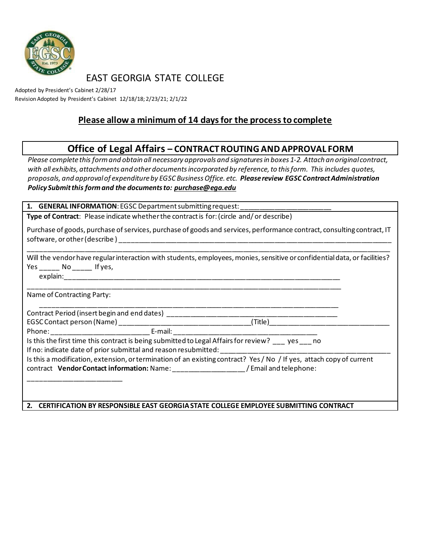

EAST GEORGIA STATE COLLEGE

Adopted by President's Cabinet 2/28/17 Revision Adopted by President's Cabinet 12/18/18; 2/23/21; 2/1/22

## **Please allow a minimum of 14 days for the process to complete**

## **Office of Legal Affairs – CONTRACT ROUTING AND APPROVAL FORM**

*Please complete this form and obtain all necessary approvals and signatures in boxes 1-2. Attach an original contract, with all exhibits, attachments and other documents incorporated by reference, to this form. This includes quotes, proposals, and approval of expenditure by EGSC Business Office. etc. Please review EGSC Contract Administration Policy Submit this form and the documents to: [purchase@ega.edu](mailto:purchase@ega.edu)*

1. **GENERAL INFORMATION**: EGSC Department submitting request:

**Type of Contract**: Please indicate whether the contract is for: (circle and/ or describe)

| Purchase of goods, purchase of services, purchase of goods and services, performance contract, consulting contract, IT |  |
|------------------------------------------------------------------------------------------------------------------------|--|
| software, or other (describe)                                                                                          |  |

|     |          |           | Will the vendor have regular interaction with students, employees, monies, sensitive or confidential data, or facilities? |
|-----|----------|-----------|---------------------------------------------------------------------------------------------------------------------------|
| Yes |          | No Ifves, |                                                                                                                           |
|     | explain: |           |                                                                                                                           |

\_\_\_\_\_\_\_\_\_\_\_\_\_\_\_\_\_\_\_\_\_\_\_\_\_\_\_\_\_\_\_\_\_\_\_\_\_\_\_\_\_\_\_\_\_\_\_\_\_\_\_\_\_\_\_\_\_\_\_\_\_\_\_\_\_\_\_\_\_\_\_\_\_\_\_\_\_\_\_\_\_\_\_\_\_\_\_\_\_\_\_\_\_\_\_\_

Name of Contracting Party:

\_\_\_\_\_\_\_\_\_\_\_\_\_\_\_\_\_\_\_\_\_\_\_\_\_

Contract Period (insert begin and end dates) \_\_\_\_\_\_\_\_\_\_\_\_\_\_\_\_\_\_\_\_\_\_\_\_\_\_\_\_\_\_\_\_\_\_\_\_\_\_\_\_\_\_\_\_\_ EGSC Contact person (Name) \_\_\_\_\_\_\_\_\_\_\_\_\_\_

Phone: The example of the E-mail:  $E$ -mail:  $E$ -mail:  $E$ -mail:  $E$ -mail:  $E$ -mail:  $E$ -mail:  $E$ -mail:  $E$ -mail:  $E$ -mail:  $E$ -mail:  $E$ -mail:  $E$ -mail:  $E$ -mail:  $E$ -mail:  $E$ -mail:  $E$ -mail:  $E$ -mail:  $E$ -mail:  $E$ -mail

Is this the first time this contract is being submitted to Legal Affairs for review? \_\_\_ yes \_\_\_ no If no: indicate date of prior submittal and reason resubmitted:

\_\_\_\_\_\_\_\_\_\_\_\_\_\_\_\_\_\_\_\_\_\_\_\_\_\_\_\_\_\_\_\_\_\_\_\_\_\_\_\_\_\_\_\_\_\_\_\_\_\_\_\_\_\_\_\_\_\_\_\_\_\_\_\_\_\_\_\_\_\_\_\_\_\_\_\_\_\_\_\_\_\_\_

\_\_\_\_\_\_\_\_\_\_\_\_\_\_\_\_\_\_\_\_\_\_\_\_\_\_\_\_\_\_\_\_\_\_\_\_\_\_\_\_\_\_\_\_\_\_\_\_\_\_\_\_\_\_\_\_\_\_\_\_\_\_\_\_\_\_\_\_\_\_\_\_\_\_\_\_\_\_\_

Is this a modification, extension, or termination of an existing contract? Yes / No / If yes, attach copy of current contract **Vendor Contact information:** Name: \_\_\_\_\_\_\_\_\_\_\_\_\_\_\_\_\_\_\_ / Email and telephone:

**2. CERTIFICATION BY RESPONSIBLE EAST GEORGIA STATE COLLEGE EMPLOYEE SUBMITTING CONTRACT**